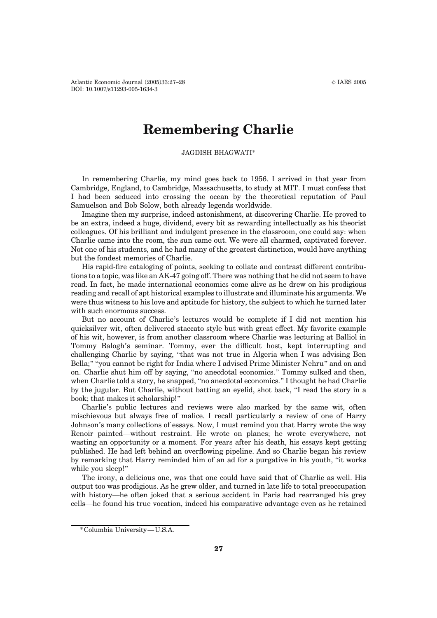## Remembering Charlie

JAGDISH BHAGWATI\*

In remembering Charlie, my mind goes back to 1956. I arrived in that year from Cambridge, England, to Cambridge, Massachusetts, to study at MIT. I must confess that I had been seduced into crossing the ocean by the theoretical reputation of Paul Samuelson and Bob Solow, both already legends worldwide.

Imagine then my surprise, indeed astonishment, at discovering Charlie. He proved to be an extra, indeed a huge, dividend, every bit as rewarding intellectually as his theorist colleagues. Of his brilliant and indulgent presence in the classroom, one could say: when Charlie came into the room, the sun came out. We were all charmed, captivated forever. Not one of his students, and he had many of the greatest distinction, would have anything but the fondest memories of Charlie.

His rapid-fire cataloging of points, seeking to collate and contrast different contributions to a topic, was like an AK-47 going off. There was nothing that he did not seem to have read. In fact, he made international economics come alive as he drew on his prodigious reading and recall of apt historical examples to illustrate and illuminate his arguments. We were thus witness to his love and aptitude for history, the subject to which he turned later with such enormous success.

But no account of Charlie's lectures would be complete if I did not mention his quicksilver wit, often delivered staccato style but with great effect. My favorite example of his wit, however, is from another classroom where Charlie was lecturing at Balliol in Tommy Balogh's seminar. Tommy, ever the difficult host, kept interrupting and challenging Charlie by saying, "that was not true in Algeria when I was advising Ben Bella;" "you cannot be right for India where I advised Prime Minister Nehru" and on and on. Charlie shut him off by saying, "no anecdotal economics." Tommy sulked and then, when Charlie told a story, he snapped, "no anecdotal economics." I thought he had Charlie by the jugular. But Charlie, without batting an eyelid, shot back, "I read the story in a book; that makes it scholarship!^

Charlie's public lectures and reviews were also marked by the same wit, often mischievous but always free of malice. I recall particularly a review of one of Harry Johnson's many collections of essays. Now, I must remind you that Harry wrote the way Renoir painted—without restraint. He wrote on planes; he wrote everywhere, not wasting an opportunity or a moment. For years after his death, his essays kept getting published. He had left behind an overflowing pipeline. And so Charlie began his review by remarking that Harry reminded him of an ad for a purgative in his youth, "it works while you sleep!"

The irony, a delicious one, was that one could have said that of Charlie as well. His output too was prodigious. As he grew older, and turned in late life to total preoccupation with history—he often joked that a serious accident in Paris had rearranged his grey cells—he found his true vocation, indeed his comparative advantage even as he retained

<sup>\*</sup>Columbia University—U.S.A.